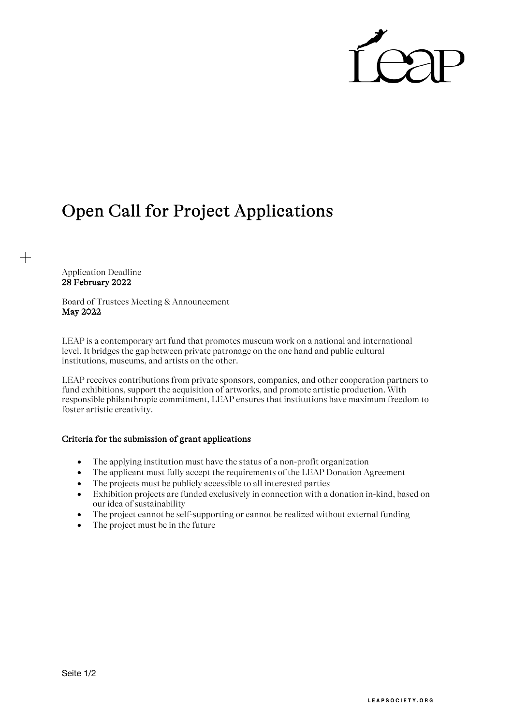

## Open Call for Project Applications

Application Deadline 28 February 2022

 $\hspace{.1cm} +$ 

Board of Trustees Meeting & Announcement May 2022

LEAP is a contemporary art fund that promotes museum work on a national and international level. It bridges the gap between private patronage on the one hand and public cultural institutions, museums, and artists on the other.

LEAP receives contributions from private sponsors, companies, and other cooperation partners to fund exhibitions, support the acquisition of artworks, and promote artistic production. With responsible philanthropic commitment, LEAP ensures that institutions have maximum freedom to foster artistic creativity.

## Criteria for the submission of grant applications

- The applying institution must have the status of a non-profit organization
- The applicant must fully accept the requirements of the LEAP Donation Agreement
- The projects must be publicly accessible to all interested parties
- Exhibition projects are funded exclusively in connection with a donation in-kind, based on our idea of sustainability
- The project cannot be self-supporting or cannot be realized without external funding
- The project must be in the future